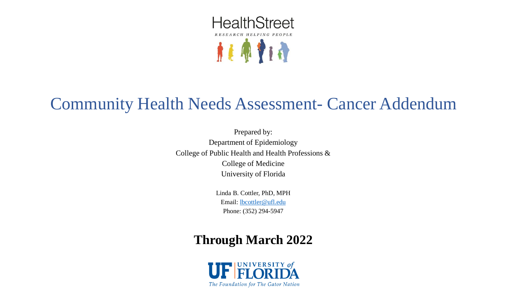

# Community Health Needs Assessment- Cancer Addendum

Prepared by: Department of Epidemiology College of Public Health and Health Professions & College of Medicine University of Florida

> Linda B. Cottler, PhD, MPH Email: [lbcottler@ufl.edu](mailto:lbcottler@ufl.edu) Phone: (352) 294-5947

# **Through March 2022**

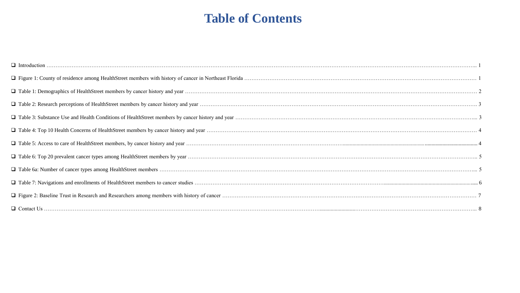## **Table of Contents**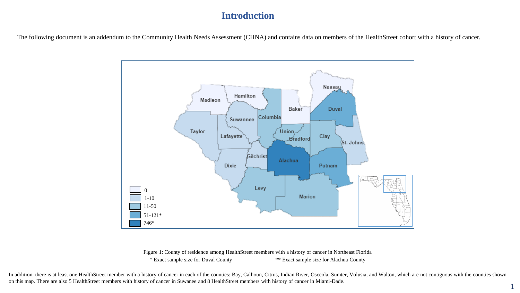#### **Introduction**

The following document is an addendum to the Community Health Needs Assessment (CHNA) and contains data on members of the HealthStreet cohort with a history of cancer.



Figure 1: County of residence among HealthStreet members with a history of cancer in Northeast Florida \* Exact sample size for Duval County \*\* Exact sample size for Alachua County

In addition, there is at least one HealthStreet member with a history of cancer in each of the counties: Bay, Calhoun, Citrus, Indian River, Osceola, Sumter, Volusia, and Walton, which are not contiguous with the counties on this map. There are also 5 HealthStreet members with history of cancer in Suwanee and 8 HealthStreet members with history of cancer in Miami-Dade.

1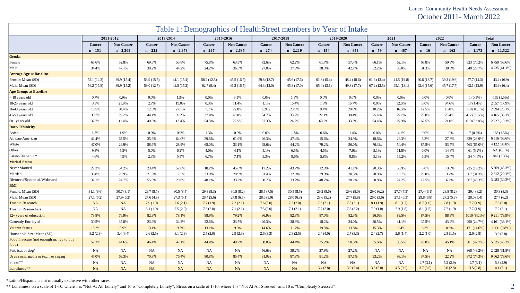Cancer Community Health Needs Assessment October 2011- March 2022

| Table 1: Demographics of HealthStreet members by Year of Intake |               |                   |             |                   |               |                   |               |                   |               |                   |               |                   |               |                   |               |                   |
|-----------------------------------------------------------------|---------------|-------------------|-------------|-------------------|---------------|-------------------|---------------|-------------------|---------------|-------------------|---------------|-------------------|---------------|-------------------|---------------|-------------------|
|                                                                 |               | 2011-2012         | 2013-2014   |                   | 2015-2016     |                   | 2017-2018     |                   | 2019-2020     |                   |               | 2021              |               | 2022              |               | <b>Total</b>      |
|                                                                 | <b>Cancer</b> | <b>Non Cancer</b> | Cancer      | <b>Non Cancer</b> | <b>Cancer</b> | <b>Non Cancer</b> | <b>Cancer</b> | <b>Non Cancer</b> | <b>Cancer</b> | <b>Non Cancer</b> | <b>Cancer</b> | <b>Non Cancer</b> | <b>Cancer</b> | <b>Non Cancer</b> | <b>Cancer</b> | <b>Non Cancer</b> |
|                                                                 | $n = 151$     | $n=2,308$         | $n = 222$   | $n = 2,878$       | $n = 297$     | $n=2,635$         | $n = 274$     | $n=2,219$         | $n = 154$     | $n = 853$         | $n=59$        | $n = 467$         | $n=16$        | $n = 162$         | $n = 1,173$   | $n=11,522$        |
| <b>Gender</b>                                                   |               |                   |             |                   |               |                   |               |                   |               |                   |               |                   |               |                   |               |                   |
| Female                                                          | 65.6%         | 52.8%             | 69.8%       | 55.8%             | 75.8%         | 63.3%             | 72.6%         | 62.2%             | 61.7%         | 57.4%             | 66.1%         | 62.1%             | 68.8%         | 59.9%             | 823 (70.2%)   | $6,750(58.6\%)$   |
| Male                                                            | 34.4%         | 47.1%             | 30.2%       | 44.2%             | 24.2%         | 36.5%             | 27.0%         | 37.3%             | 38.3%         | 42.1%             | 32.2%         | 36.0%             | 31.3%         | 38.3%             | 348 (29.7%)   | 4,735 (41.1%)     |
| <b>Average Age at Baseline</b>                                  |               |                   |             |                   |               |                   |               |                   |               |                   |               |                   |               |                   |               |                   |
| Female: Mean (SD)                                               | 52.1(14.3)    | 39.9 (15.4)       | 53.9(15.5)  | 41.1(15.4)        | 58.2 (12.5)   | 45.5(16.7)        | 59.8 (13.7)   | 45.6(17.6)        | 61.8(15.4)    | 48.4 (18.6)       | 61.6(13.4)    | 41.5(19.8)        | 60.6(13.7)    | 39.3 (19.6)       | 57.7(14.3)    | 43.4 (16.9)       |
| Male: Mean (SD)                                                 | 56.2(15.8)    | 39.9 (15.2)       | 59.0 (12.7) | 42.5(15.2)        | 62.7(9.4)     | 46.2(16.5)        | 64.3(12.0)    | 45.8 (17.0)       | 65.4(13.1)    | 49.3 (17.7)       | 67.2(12.5)    | 45.1(18.1)        | 62.4(17.6)    | 45.7(17.7)        | 62.1(12.9)    | 43.9(16.4)        |
| <b>Age Groups at Baseline</b>                                   |               |                   |             |                   |               |                   |               |                   |               |                   |               |                   |               |                   |               |                   |
| <18 years old                                                   | 0.7%          | 0.9%              | 0.0%        | 1.3%              | 0.0%          | 3.1%              | 0.0%          | 1.3%              | 0.0%          | $0.0\%$           | $0.0\%$       | 0.0%              | 0.0%          | $0.0\%$           | $1(0.1\%)$    | 169(1.5%)         |
| 18-25 years old                                                 | 3.3%          | 21.9%             | 2.7%        | 19.0%             | 0.3%          | 11.4%             | 1.1%          | 16.4%             | 1.3%          | 15.7%             | 0.0%          | 32.5%             | 0.0%          | 34.6%             | $17(1.4\%)$   | 2,057 (17.9%)     |
| 26-40 years old                                                 | 18.5%         | 30.4%             | 12.6%       | 27.1%             | 7.7%          | 22.8%             | 6.9%          | 23.9%             | 8.4%          | 20.6%             | 10.2%         | 16.5%             | 12.5%         | 16.0%             | 119 (10.1%)   | $2,894(25.1\%)$   |
| 41-59 years old                                                 | 39.7%         | 35.2%             | 44.1%       | 39.2%             | 37.4%         | 40.0%             | 34.7%         | 33.7%             | 22.1%         | 30.4%             | 25.4%         | 25.1%             | 25.0%         | 28.4%             | 417 (35.5%)   | 4,165 (36.1%)     |
| 60+ years old                                                   | 37.7%         | 11.4%             | 40.5%       | 13.4%             | 54.5%         | 22.5%             | 57.3%         | 24.7%             | 68.2%         | 33.3%             | 64.4%         | 25.9%             | 62.5%         | 21.0%             | 619 (52.8%)   | 2,227 (19.3%)     |
| <b>Race/Ethinicity</b>                                          |               |                   |             |                   |               |                   |               |                   |               |                   |               |                   |               |                   |               |                   |
| Asian                                                           | 1.3%          | 1.9%              | 0.0%        | 0.9%              | 1.3%          | 0.9%              | 0.0%          | 1.8%              | 0.6%          | 1.4%              | 0.0%          | 4.1%              | 0.0%          | 1.9%              | $7(0.6\%)$    | $168(1.5\%)$      |
| African-American                                                | 42.4%         | 65.5%             | 35.6%       | 64.0%             | 29.6%         | 61.9%             | 26.3%         | 47.4%             | 15.6%         | 34.9%             | 18.6%         | 29.3%             | 6.3%          | 27.8%             | 339 (28.9%)   | 6,516 (56.6%)     |
| White                                                           | 47.0%         | 26.9%             | 58.6%       | 28.9%             | 65.0%         | 33.1%             | 68.6%         | 44.2%             | 79.2%         | 56.0%             | 76.3%         | 54.4%             | 87.5%         | 53.7%             | 763 (65.0%)   | 4,122 (35.8%)     |
| Other                                                           | 9.3%          | 5.5%              | 5.0%        | 6.2%              | 4.0%          | 4.1%              | 5.1%          | 6.5%              | 4.5%          | 7.6%              | 5.1%          | 11.8%             | 0.0%          | 14.8%             | $61(5.2\%)$   | 699 (6.1%)        |
| Latino/Hispanic *                                               | 4.6%          | 4.9%              | 2.3%        | 5.5%              | 6.7%          | 7.1%              | 3.3%          | 9.6%              | 5.8%          | 8.8%              | 5.1%          | 15.2%             | 6.3%          | 15.4%             | 54 (4.6%)     | 842 (7.3%)        |
| <b>Marital Status</b>                                           |               |                   |             |                   |               |                   |               |                   |               |                   |               |                   |               |                   |               |                   |
| Never Married                                                   | 27.2%         | 54.2%             | 23.4%       | 52.6%             | 18.2%         | 45.6%             | 17.2%         | 43.7%             | 12.3%         | 41.1%             | 20.3%         | 55.9%             | 0.0%          | 13.6%             | 225 (19.2%)   | 5,569 (48.3%)     |
| Married                                                         | 35.8%         | 20.9%             | 21.6%       | 17.5%             | 33.0%         | 20.9%             | 31.4%         | 22.6%             | 39.0%         | 20.5%             | 28.8%         | 19.7%             | 25.0%         | 3.7%              | 367 (31.3%)   | 2,312 (20.1%)     |
| Divorced/Separated/Widowed                                      | 37.1%         | 24.7%             | 55.0%       | 29.6%             | 48.1%         | 33.2%             | 50.7%         | 33.2%             | 48.7%         | 38.1%             | 50.8%         | 24.2%             | 12.5%         | 6.2%              | 567 (48.3%)   | 3,483 (30.2%)     |
| <b>BMI</b>                                                      |               |                   |             |                   |               |                   |               |                   |               |                   |               |                   |               |                   |               |                   |
| Female: Mean (SD)                                               | 31.1(8.6)     | 30.7(8.1)         | 29.7(8.7)   | 30.5(8.4)         | 29.3(8.3)     | 30.5(8.2)         | 28.5(7.5)     | 30.5(8.5)         | 29.2(8.6)     | 29.6(8.0)         | 29.0(6.2)     | 27.7(7.5)         | 27.4(6.1)     | 28.8(8.2)         | 29.4(8.2)     | 30.3(8.3)         |
| Male: Mean (SD)                                                 | 27.1(5.2)     | 27.9(6.2)         | 27.6(4.9)   | 27.3(6.1)         | 28.4(5.6)     | 27.8(6.5)         | 28.6(5.9)     | 28.0(6.3)         | 28.6(5.2)     | 27.7(5.8)         | 26.0(3.6)     | 27.1(6.3)         | 29.8(6.8)     | 27.2(5.8)         | 28.0(5.4)     | 27.7(6.2)         |
| <b>Trust in Research</b>                                        | NA            | NA                | 7.9(1.9)    | 7.6(2.1)          | 7.7(1.9)      | 7.2(2.1)          | 7.6(2.0)      | 7.2(2.0)          | 7.5(2.1)      | 7.5(2.1)          | 8.1(1.9)      | 8.1(1.7)          | 8.7(1.0)      | 7.8(1.9)          | 7.7(1.9)      | 7.3(2.0)          |
| Trust in Researchers                                            | NA            | NA                | 8.1(1.9)    | 7.5(2.0)          | 7.6(2.0)      | 7.1(2.1)          | 7.5(2.0)      | 7.1(2.1)          | 7.7(2.0)      | 7.3(2.2)          | 7.9(1.8)      | 7.9(1.8)          | 8.1(1.5)      | 7.7(1.9)          | 7.7(1.9)      | 7.2(2.1)          |
| 12+ years of education                                          | 78.8%         | 76.9%             | 82.9%       | 78.1%             | 88.9%         | 79.2%             | 86.9%         | 82.8%             | 87.0%         | 82.3%             | 96.6%         | 89.5%             | 87.5%         | 88.9%             | 1010 (86.1%)  | 9,211 (79.9%)     |
| Currently Employed                                              | 30.5%         | 37.8%             | 23.9%       | 34.2%             | 22.6%         | 33.7%             | 26.3%         | 38.9%             | 18.2%         | 34.0%             | 30.5%         | 41.1%             | 37.5%         | 43.2%             | 290 (24.7%)   | 4,161 (36.1%)     |
| <b>Veteran Status</b>                                           | 15.2%         | 8.9%              | 13.1%       | 9.2%              | 13.1%         | 9.6%              | 14.6%         | 11.7%             | 19.5%         | 13.8%             | 15.3%         | 6.4%              | 6.3%          | 0.6%              | 171 (14.6%)   | 1,131 (9.8%)      |
| Household Size: Mean (SD)                                       | 3.2(2.3)      | 3.4(3.4)          | 2.6(2.5)    | 3.1(2.9)          | 2.5(2.0)      | 2.9(2.3)          | 2.6(3.3)      | 2.8(2.5)          | 2.4(4.0)      | 2.7(3.3)          | 2.4(2.7)      | 2.6(1.4)          | 2.2(1.0)      | 2.5(1.5)          | 2.6(2.8)      | 3.0(2.8)          |
| Food Insecure (not enough money to buy<br>food)                 | 52.3%         | 44.6%             | 46.4%       | 47.1%             | 44.4%         | 48.7%             | 38.0%         | 44.4%             | 35.7%         | 50.5%             | 35.6%         | 35.5%             | 43.8%         | 45.1%             | 501 (42.7%)   | 5,325 (46.2%)     |
| Pets (cat or dog)                                               | <b>NA</b>     | <b>NA</b>         | <b>NA</b>   | NA                | <b>NA</b>     | <b>NA</b>         | 56.6%         | 39.2%             | 27.9%         | 27.2%             | NA            | NA                | <b>NA</b>     | NA                | 368 (48.2%)   | 2,028 (31.8%)     |
| Uses social media or text messaging                             | 45.0%         | 63.3%             | 70.3%       | 76.4%             | 80.8%         | 85.4%             | 81.0%         | 87.3%             | 81.2%         | 87.1%             | 93.2%         | 93.1%             | 37.5%         | 22.2%             | 872 (74.3%)   | 9,062 (78.6%)     |
| Stress**                                                        | <b>NA</b>     | <b>NA</b>         | <b>NA</b>   | NA                | <b>NA</b>     | <b>NA</b>         | <b>NA</b>     | <b>NA</b>         | <b>NA</b>     | <b>NA</b>         | NA            | <b>NA</b>         | 4.7(3.1)      | 5.2(2.9)          | 4.7(3.1)      | 5.3(2.9)          |
| Loneliness**                                                    | <b>NA</b>     | <b>NA</b>         | NA          | NA                | <b>NA</b>     | <b>NA</b>         | NA            | <b>NA</b>         | 3.4(2.8)      | 3.9(5.4)          | 3.5(2.8)      | 4.5(9.2)          | 3.7(3.5)      | 3.6(2.8)          | 3.5(2.8)      | 4.1(7.1)          |

\*Latino/Hispanic is not mutually exclusive with other races.

\*\* Loneliness on a scale of 1-10, where 1 is "Not At All Lonely" and 10 is "Completely Lonely"; Stress on a scale of 1-10, where 1 is "Not At All Stressed" and 10 is "Completely Stressed"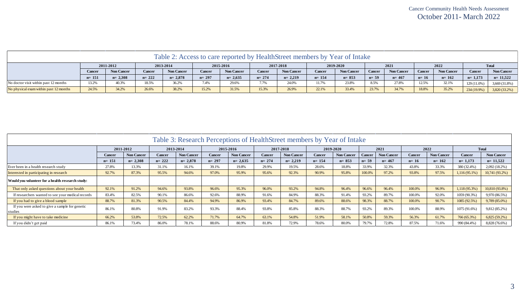|                                        | Table 2: Access to care reported by HealthStreet members by Year of Intake |                   |           |                   |           |                   |           |                   |               |                   |               |                   |        |                   |               |                   |
|----------------------------------------|----------------------------------------------------------------------------|-------------------|-----------|-------------------|-----------|-------------------|-----------|-------------------|---------------|-------------------|---------------|-------------------|--------|-------------------|---------------|-------------------|
|                                        | 2011-2012                                                                  |                   | 2013-2014 |                   | 2015-2016 |                   | 2017-2018 |                   | 2019-2020     |                   | 2021          |                   | 2022   |                   | <b>Total</b>  |                   |
|                                        | Cancer                                                                     | <b>Non Cancer</b> | Cancer    | <b>Non Cancer</b> | Cancer    | <b>Non Cancer</b> | Cancer    | <b>Non Cancer</b> | <b>Cancer</b> | <b>Non Cancer</b> | <b>Cancer</b> | <b>Non Cancer</b> | Cancer | <b>Non Cancer</b> | Cancer        | <b>Non Cancer</b> |
|                                        | $n = 151$                                                                  | $n = 2,308$       | $n = 222$ | $n = 2,878$       | $n = 297$ | $n = 2,635$       | $n = 274$ | $n = 2.219$       | $n = 154$     | $n = 853$         | $n=59$        | $n = 467$         | $n=16$ | $n=162$           | $n=1,173$     | $n=11,522$        |
| No doctor visit within past 12 months  | 13.2%                                                                      | 40.3%             | 18.5%     | 36.2%             | 7.4%      | 29.6%             | 1.7%      | 24.0%             | 11.7%         | 23.8%             | 8.5%          | 27.8%             | 12.5%  | 32.1%             | 129 (11.0%)   | 3,669 (31.8%)     |
| No physical exam within past 12 months | 24.5%                                                                      | 34.2%             | 26.6%     | 38.2%             | 15.2%     | 31.5%             | 15.3%     | 26.9%             | 22.1%         | 33.4%             | 23.7%         | 34.7%             | 18.8%  | 35.2%             | $234(19.9\%)$ | 3,820 (33.2%)     |

| Table 3: Research Perceptions of HealthStreet members by Year of Intake |           |                   |               |                   |               |                   |               |                   |           |                   |               |                   |               |                   |               |                   |
|-------------------------------------------------------------------------|-----------|-------------------|---------------|-------------------|---------------|-------------------|---------------|-------------------|-----------|-------------------|---------------|-------------------|---------------|-------------------|---------------|-------------------|
|                                                                         |           | 2011-2012         | 2013-2014     |                   | 2015-2016     |                   | 2017-2018     |                   | 2019-2020 |                   | 2021          |                   | 2022          |                   | <b>Total</b>  |                   |
|                                                                         | Cancer    | <b>Non Cancer</b> | <b>Cancer</b> | <b>Non Cancer</b> | <b>Cancer</b> | <b>Non Cancer</b> | <b>Cancer</b> | <b>Non Cancer</b> | Cancer    | <b>Non Cancer</b> | <b>Cancer</b> | <b>Non Cancer</b> | <b>Cancer</b> | <b>Non Cancer</b> | Cancer        | <b>Non Cancer</b> |
|                                                                         | $n = 151$ | $n = 2,308$       | $n = 222$     | $n = 2,878$       | $n = 297$     | $n=2,635$         | $n = 274$     | $n=2,219$         | $n = 154$ | $n = 853$         | $n=59$        | $n = 467$         | $n=16$        | $n = 162$         | $n=1,173$     | $n=11,522$        |
| Ever been in a health research study                                    | 27.8%     | 13.3%             | 31.1%         | 16.1%             | 39.1%         | 19.8%             | 29.9%         | 19.5%             | 28.6%     | 18.8%             | 33.9%         | 32.3%             | 43.8%         | 33.3%             | 380 (32.4%)   | 2,092 (18.2%)     |
| Interested in participating in research                                 | 92.7%     | 87.3%             | 95.5%         | 94.6%             | 97.0%         | 95.9%             | 95.6%         | 92.3%             | 90.9%     | 95.8%             | 100.0%        | 97.2%             | 93.8%         | 97.5%             | 1,116 (95.1%) | 10,741 (93.2%)    |
| Would you volunteer for a health research study:                        |           |                   |               |                   |               |                   |               |                   |           |                   |               |                   |               |                   |               |                   |
| That only asked questions about your health                             | 92.1%     | 91.2%             | 94.6%         | 93.8%             | 96.6%         | 95.3%             | 96.0%         | 93.2%             | 94.8%     | 96.4%             | 96.6%         | 96.4%             | 100.0%        | 96.9%             | 1,118 (95.3%) | 10,810 (93.8%)    |
| If researchers wanted to see your medical records                       | 83.4%     | 82.5%             | 90.1%         | 86.6%             | 92.6%         | 88.9%             | 91.6%         | 84.9%             | 88.3%     | 91.4%             | 93.2%         | 89.7%             | 100.0%        | 92.0%             | 1059 (90.3%)  | 9,970 (86.5%)     |
| If you had to give a blood sample                                       | 88.7%     | 81.3%             | 90.5%         | 84.4%             | 94.9%         | 86.9%             | 93.4%         | 84.7%             | 89.6%     | 88.6%             | 98.3%         | 88.7%             | 100.0%        | 90.7%             | 1085 (92.5%)  | 9,789 (85.0%)     |
| If you were asked to give a sample for genetic<br>studies               | 86.1%     | 80.8%             | 91.9%         | 83.2%             | 93.3%         | 88.4%             | 93.8%         | 85.8%             | 88.3%     | 88.7%             | 93.2%         | 89.3%             | 100.0%        | 88.9%             | 1075 (91.6%)  | 9,812 (85.2%)     |
| If you might have to take medicine                                      | 66.2%     | 53.8%             | 72.5%         | 62.2%             | 71.7%         | 64.7%             | 63.1%         | 54.8%             | 51.9%     | 58.1%             | 50.8%         | 59.3%             | 56.3%         | 61.7%             | 766 (65.3%)   | $6,825(59.2\%)$   |
| If you didn't get paid                                                  | 86.1%     | 73.4%             | 86.0%         | 78.1%             | 88.6%         | 80.9%             | 81.8%         | 72.9%             | 78.6%     | 80.0%             | 79.7%         | 72.8%             | 87.5%         | 71.6%             | 990 (84.4%)   | 8,828 (76.6%)     |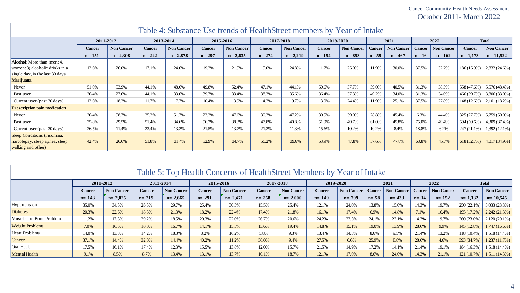Cancer Community Health Needs Assessment October 2011- March 2022

| Table 4: Substance Use trends of HealthStreet members by Year of Intake                                  |               |                   |               |                   |               |                   |               |                   |               |            |                 |            |               |                   |               |                             |
|----------------------------------------------------------------------------------------------------------|---------------|-------------------|---------------|-------------------|---------------|-------------------|---------------|-------------------|---------------|------------|-----------------|------------|---------------|-------------------|---------------|-----------------------------|
|                                                                                                          |               | 2011-2012         |               | 2013-2014         |               | 2015-2016         |               | 2017-2018         |               | 2019-2020  |                 | 2021       | 2022          |                   | <b>Total</b>  |                             |
|                                                                                                          | <b>Cancer</b> | <b>Non Cancer</b> | <b>Cancer</b> | <b>Non Cancer</b> | <b>Cancer</b> | <b>Non Cancer</b> | <b>Cancer</b> | <b>Non Cancer</b> | <b>Cancer</b> | Non Cancer | <b>Cancer</b> ' | Non Cancer | <b>Cancer</b> | <b>Non Cancer</b> | Cancer        | <b>Non Cancer</b>           |
|                                                                                                          | $n = 151$     | $n = 2,308$       | $n = 222$     | $n = 2,878$       | $n = 297$     | $n = 2,635$       | $n = 274$     | $n=2,219$         | $n = 154$     | $n = 853$  | $n=59$          | $n = 467$  | $n=16$        | $n = 162$         | $n=1,173$     | $n=11,522$                  |
| <b>Alcohol:</b> More than (men: 4,<br>women: 3) alcoholic drinks in a<br>single day, in the last 30 days | 12.6%         | 26.0%             | 17.1%         | 24.6%             | 19.2%         | 21.5%             | 15.0%         | 24.8%             | 11.7%         | 25.0%      | 11.9%           | 30.0%      | 37.5%         | 32.7%             |               | $186(15.9\%)$ 2,832 (24.6%) |
| <b>Marijuana</b>                                                                                         |               |                   |               |                   |               |                   |               |                   |               |            |                 |            |               |                   |               |                             |
| Never                                                                                                    | 51.0%         | 53.9%             | 44.1%         | 48.6%             | 49.8%         | 52.4%             | 47.1%         | 44.1%             | 50.6%         | 37.7%      | 39.0%           | 40.5%      | 31.3%         | 38.3%             | 558 (47.6%)   | $5,576(48.4\%)$             |
| Past user                                                                                                | 36.4%         | 27.6%             | 44.1%         | 33.6%             | 39.7%         | 33.4%             | 38.3%         | 35.6%             | 36.4%         | 37.3%      | 49.2%           | 34.0%      | 31.3%         | 34.0%             | 466 (39.7%)   | 3,806 (33.0%)               |
| Current user (past 30 days)                                                                              | 12.6%         | 18.2%             | 11.7%         | 17.7%             | 10.4%         | 13.9%             | 14.2%         | 19.7%             | 13.0%         | 24.4%      | 11.9%           | 25.1%      | 37.5%         | 27.8%             | 148 (12.6%)   | $2,101(18.2\%)$             |
| <b>Prescription pain medication</b>                                                                      |               |                   |               |                   |               |                   |               |                   |               |            |                 |            |               |                   |               |                             |
| Never                                                                                                    | 36.4%         | 58.7%             | 25.2%         | 51.7%             | 22.2%         | 47.6%             | 30.3%         | 47.2%             | 30.5%         | 39.0%      | 28.8%           | 45.4%      | 6.3%          | 44.4%             | 325 (27.7%)   | $5,759(50.0\%)$             |
| Past user                                                                                                | 35.8%         | 29.5%             | 51.4%         | 34.6%             | 56.2%         | 38.3%             | 47.8%         | 40.8%             | 51.9%         | 49.7%      | 61.0%           | 45.8%      | 75.0%         | 49.4%             | 594 (50.6%)   | 4,309 (37.4%)               |
| Current user (past 30 days)                                                                              | 26.5%         | 11.4%             | 23.4%         | 13.2%             | 21.5%         | 13.7%             | 21.2%         | 11.3%             | 15.6%         | 10.2%      | 10.2%           | 8.4%       | 18.8%         | 6.2%              | $247(21.1\%)$ | $1,392(12.1\%)$             |
| Sleep Conditions (insomnia,<br>narcolepsy, sleep apnea, sleep<br>walking and other)                      | 42.4%         | 26.6%             | 51.8%         | 31.4%             | 52.9%         | 34.7%             | 56.2%         | 39.6%             | 53.9%         | 47.8%      | 57.6%           | 47.8%      | 68.8%         | 45.7%             |               | 618 (52.7%) 4,017 (34.9%)   |

|  | Table 5: Top Health Concerns of HealthStreet Members by Year of Intake |  |
|--|------------------------------------------------------------------------|--|
|--|------------------------------------------------------------------------|--|

|                          | 2011-2012     |                   | 2013-2014     |                   | 2015-2016 |                   | 2017-2018 |                   | 2019-2020     |                   | 2021          |                   | 2022   |                   | <b>Total</b>   |                             |
|--------------------------|---------------|-------------------|---------------|-------------------|-----------|-------------------|-----------|-------------------|---------------|-------------------|---------------|-------------------|--------|-------------------|----------------|-----------------------------|
|                          | <b>Cancer</b> | <b>Non Cancer</b> | <b>Cancer</b> | <b>Non Cancer</b> | Cancer    | <b>Non Cancer</b> | Cancer    | <b>Non Cancer</b> | <b>Cancer</b> | <b>Non Cancer</b> | <b>Cancer</b> | <b>Non Cancer</b> | Cancer | <b>Non Cancer</b> | <b>Cancer</b>  | <b>Non Cancer</b>           |
|                          | $n = 143$     | $n = 2,025$       | $n = 219$     | $n=2,665$         | $n = 291$ | $n = 2,471$       | $n = 258$ | $n = 2,000$       | $n = 149$     | $n = 799$         | $n = 58$      | $n = 433$         | $n=14$ | $n = 152$         | 1,132<br>$n=1$ | $n=10,545$                  |
| Hypertension             | 35.0%         | 34.5%             | 26.5%         | 29.7%             | 25.4%     | 30.3%             | 15.5%     | 25.4%             | 12.1%         | 24.0%             | 13.8%         | 15.0%             | 14.3%  | 19.7%             | $250(22.1\%)$  | $3,033(28.8\%)$             |
| <b>Diabetes</b>          | 20.3%         | 22.6%             | 18.3%         | 21.3%             | 18.2%     | 22.4%             | 17.4%     | 21.8%             | 16.1%         | 17.4%             | 6.9%          | 14.8%             | 7.1%   | 16.4%             | 195 (17.2%)    | $\vert 2,242(21.3\%)$       |
| Muscle and Bone Problems | 11.2%         | 17.5%             | 29.2%         | 18.5%             | 20.3%     | 22.0%             | 26.7%     | 20.6%             | 24.2%         | 23.5%             | 24.1%         | 23.1%             | 14.3%  | 19.7%             | 260 (23.0%)    | $2,120(20.1\%)$             |
| <b>Weight Problems</b>   | 7.0%          | 16.5%             | 10.0%         | 16.7%             | 14.1%     | 15.5%             | 13.6%     | 19.4%             | 14.8%         | 15.1%             | 19.0%         | 13.9%             | 28.6%  | 9.9%              | 145 (12.8%)    | $1,747(16.6\%)$             |
| <b>Heart Problems</b>    | 14.0%         | 13.3%             | 14.2%         | 18.3%             | 8.2%      | 16.2%             | 5.8%      | 9.3%              | 13.4%         | 14.3%             | 8.6%          | 9.5%              | 21.4%  | 13.2%             | $118(10.4\%)$  | $1,518(14.4\%)$             |
| Cancer                   | 37.1%         | 14.4%             | 32.0%         | 14.4%             | 40.2%     | 11.2%             | 36.0%     | 9.4%              | 27.5%         | 6.6%              | 25.9%         | 8.8%              | 28.6%  | 4.6%              | 393 (34.7%)    | 1,237(11.7%)                |
| Oral Health              | 17.5%         | 16.1%             | 17.4%         | 12.3%             | 15.5%     | 13.8%             | 12.0%     | 15.7%             | 21.5%         | 14.9%             | 17.2%         | 14.1%             | 21.4%  | 19.1%             | $184(16.3\%)$  | $1,518(14.4\%)$             |
| <b>Mental Health</b>     | 9.1%          | 8.5%              | 8.7%          | 13.4%             | 13.1%     | 13.7%             | 10.1%     | 18.7%             | 12.1%         | 17.0%             | 8.6%          | 24.0%             | 14.3%  | 21.1%             |                | $121(10.7\%)$ 1,511 (14.3%) |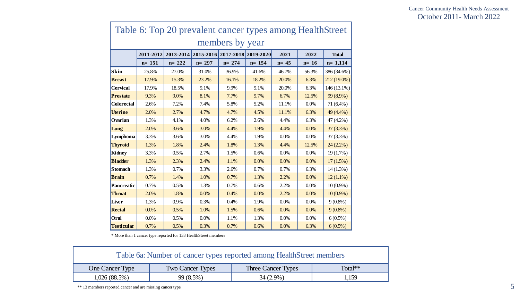|                   |           |           | 2011-2012 2013-2014 2015-2016 2017-2018 2019-2020 |           |           | 2021   | 2022   | <b>Total</b> |
|-------------------|-----------|-----------|---------------------------------------------------|-----------|-----------|--------|--------|--------------|
|                   | $n = 151$ | $n = 222$ | $n = 297$                                         | $n = 274$ | $n = 154$ | $n=45$ | $n=16$ | $n=1,114$    |
| <b>Skin</b>       | 25.8%     | 27.0%     | 31.0%                                             | 36.9%     | 41.6%     | 46.7%  | 56.3%  | 386 (34.6%)  |
| <b>Breast</b>     | 17.9%     | 15.3%     | 23.2%                                             | 16.1%     | 18.2%     | 20.0%  | 6.3%   | 212 (19.0%)  |
| <b>Cervical</b>   | 17.9%     | 18.5%     | 9.1%                                              | 9.9%      | 9.1%      | 20.0%  | 6.3%   | 146 (13.1%)  |
| <b>Prostate</b>   | 9.3%      | 9.0%      | 8.1%                                              | 7.7%      | 9.7%      | 6.7%   | 12.5%  | 99 (8.9%)    |
| <b>Colorectal</b> | 2.6%      | 7.2%      | 7.4%                                              | 5.8%      | 5.2%      | 11.1%  | 0.0%   | 71 (6.4%)    |
| <b>Uterine</b>    | 2.0%      | 2.7%      | 4.7%                                              | 4.7%      | 4.5%      | 11.1%  | 6.3%   | 49 (4.4%)    |
| Ovarian           | 1.3%      | 4.1%      | 4.0%                                              | 6.2%      | 2.6%      | 4.4%   | 6.3%   | 47 (4.2%)    |
| Lung              | 2.0%      | 3.6%      | 3.0%                                              | 4.4%      | 1.9%      | 4.4%   | 0.0%   | $37(3.3\%)$  |
| Lymphoma          | 3.3%      | 3.6%      | 3.0%                                              | 4.4%      | 1.9%      | 0.0%   | 0.0%   | 37 (3.3%)    |
| <b>Thyroid</b>    | 1.3%      | 1.8%      | 2.4%                                              | 1.8%      | 1.3%      | 4.4%   | 12.5%  | $24(2.2\%)$  |
| <b>Kidney</b>     | 3.3%      | 0.5%      | 2.7%                                              | 1.5%      | 0.6%      | 0.0%   | 0.0%   | $19(1.7\%)$  |
| <b>Bladder</b>    | 1.3%      | 2.3%      | 2.4%                                              | 1.1%      | 0.0%      | 0.0%   | 0.0%   | $17(1.5\%)$  |
| <b>Stomach</b>    | 1.3%      | 0.7%      | 3.3%                                              | 2.6%      | 0.7%      | 0.7%   | 6.3%   | $14(1.3\%)$  |
| <b>Brain</b>      | 0.7%      | 1.4%      | 1.0%                                              | 0.7%      | 1.3%      | 2.2%   | 0.0%   | $12(1.1\%)$  |
| Pancreatic        | 0.7%      | 0.5%      | 1.3%                                              | 0.7%      | 0.6%      | 2.2%   | 0.0%   | $10(0.9\%)$  |
| <b>Throat</b>     | 2.0%      | 1.8%      | 0.0%                                              | 0.4%      | 0.0%      | 2.2%   | 0.0%   | $10(0.9\%)$  |
| Liver             | 1.3%      | 0.9%      | 0.3%                                              | 0.4%      | 1.9%      | 0.0%   | 0.0%   | $9(0.8\%)$   |
| <b>Rectal</b>     | 0.0%      | 0.5%      | 1.0%                                              | 1.5%      | 0.6%      | 0.0%   | 0.0%   | $9(0.8\%)$   |
| Oral              | 0.0%      | 0.5%      | 0.0%                                              | 1.1%      | 1.3%      | 0.0%   | 0.0%   | $6(0.5\%)$   |
| <b>Testicular</b> | 0.7%      | 0.5%      | 0.3%                                              | 0.7%      | 0.6%      | 0.0%   | 6.3%   | $6(0.5\%)$   |

| Table 6a: Number of cancer types reported among HealthStreet members |                         |                    |           |  |  |  |  |  |  |
|----------------------------------------------------------------------|-------------------------|--------------------|-----------|--|--|--|--|--|--|
| One Cancer Type                                                      | <b>Two Cancer Types</b> | Three Cancer Types | $Total**$ |  |  |  |  |  |  |
| 1,026(88.5%)<br>$99(8.5\%)$<br>$34(2.9\%)$<br>1,159                  |                         |                    |           |  |  |  |  |  |  |

\*\* 13 members reported cancer and are missing cancer type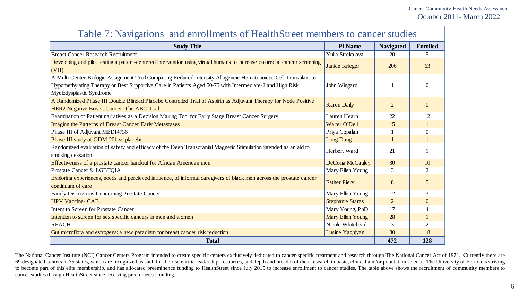| Table 7. INTO all contractions and contributions of HealthStreet inclinuers to called studies                                                                                                                                                            |                         |                  |                 |  |  |  |  |  |
|----------------------------------------------------------------------------------------------------------------------------------------------------------------------------------------------------------------------------------------------------------|-------------------------|------------------|-----------------|--|--|--|--|--|
| <b>Study Title</b>                                                                                                                                                                                                                                       | PI Name                 | <b>Navigated</b> | <b>Enrolled</b> |  |  |  |  |  |
| <b>Breast Cancer Research Recruitment</b>                                                                                                                                                                                                                | Yulia Strekalova        | 20               | 5               |  |  |  |  |  |
| Developing and pilot testing a patient-centered intervention using virtual humans to increase colorectal cancer screening<br>(VH)                                                                                                                        | Janice Krieger          | 206              | 63              |  |  |  |  |  |
| A Multi-Center Biologic Assignment Trial Comparing Reduced Intensity Allogeneic Hematopoietic Cell Transplant to<br>Hypomethylating Therapy or Best Supportive Care in Patients Aged 50-75 with Intermediate-2 and High Risk<br>Myelodysplastic Syndrome | John Wingard            |                  | $\overline{0}$  |  |  |  |  |  |
| A Randomized Phase III Double Blinded Placebo Controlled Trial of Aspirin as Adjuvant Therapy for Node Positive<br><b>HER2</b> Negative Breast Cancer: The ABC Trial                                                                                     | <b>Karen Daily</b>      | $\overline{2}$   | $\overline{0}$  |  |  |  |  |  |
| Examination of Patient narratives as a Decision Making Tool for Early Stage Breast Cancer Surgery                                                                                                                                                        | Lauren Hearn            | 22               | 12              |  |  |  |  |  |
| <b>Imaging the Patterns of Breast Cancer Early Metastases</b>                                                                                                                                                                                            | <b>Walter O'Dell</b>    | 15               |                 |  |  |  |  |  |
| Phase III of Adjuvant MEDI4736                                                                                                                                                                                                                           | Priya Gopalan           |                  | $\overline{0}$  |  |  |  |  |  |
| Phase III study of ODM-201 vs placebo                                                                                                                                                                                                                    | <b>Long Dang</b>        |                  |                 |  |  |  |  |  |
| Randomized evaluation of safety and efficacy of the Deep Transcranial Magnetic Stimulation intended as an aid to<br>smoking cessation                                                                                                                    | Herbert Ward            | 21               |                 |  |  |  |  |  |
| Effectiveness of a prostate cancer handout for African American men                                                                                                                                                                                      | DeCoria McCauley        | 30               | 10              |  |  |  |  |  |
| Prostate Cancer & LGBTQIA                                                                                                                                                                                                                                | Mary Ellen Young        | 3                | $\overline{2}$  |  |  |  |  |  |
| Exploring experiences, needs and percieved influence, of informal caregivers of black men across the prostate cancer<br>continuum of care                                                                                                                | <b>Esther Piervil</b>   | 8                | $\mathfrak{S}$  |  |  |  |  |  |
| Family Discussions Concerning Prostate Cancer                                                                                                                                                                                                            | Mary Ellen Young        | 12               | 3               |  |  |  |  |  |
| <b>HPV Vaccine- CAB</b>                                                                                                                                                                                                                                  | Stephanie Staras        | $\overline{2}$   | $\mathbf{0}$    |  |  |  |  |  |
| <b>Intent to Screen for Prostate Cancer</b>                                                                                                                                                                                                              | Mary Young, PhD         | 17               | $\overline{4}$  |  |  |  |  |  |
| Intention to screen for sex specific cancers in men and women                                                                                                                                                                                            | <b>Mary Ellen Young</b> | 28               |                 |  |  |  |  |  |
| <b>REACH</b>                                                                                                                                                                                                                                             | Nicole Whitehead        | 3                | $\overline{2}$  |  |  |  |  |  |
| Gut microflora and estrogens: a new paradigm for breast cancer risk reduction                                                                                                                                                                            | Lusine Yaghjyan         | 80               | 18              |  |  |  |  |  |
| <b>Total</b>                                                                                                                                                                                                                                             |                         | 472              | 128             |  |  |  |  |  |

### Table 7: Navigations and enrollments of HealthStreet members to cancer studies

The National Cancer Institute (NCI) Cancer Centers Program intended to create specific centers exclusively dedicated to cancer-specific treatment and research through The National Cancer Act of 1971. Currently there are 69 designated centers in 35 states, which are recognized as such for their scientific leadership, resources, and depth and breadth of their research in basic, clinical and/or population science. The University of Florida i to become part of this elite membership, and has allocated preeminence funding to HealthStreet since July 2015 to increase enrollment to cancer studies. The table above shows the recruitment of community members to cancer studies through HealthStreet since receiving preeminence funding.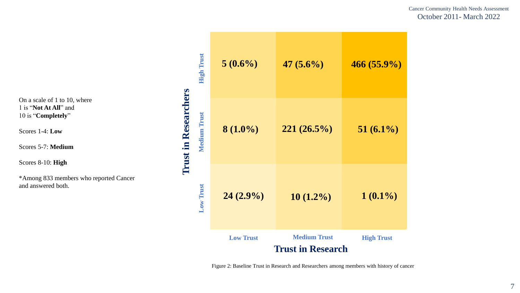Cancer Community Health Needs Assessment October 2011- March 2022

On a scale of 1 to 10, where 1 is "**Not At All**" and 10 is "**Completely**"

Scores 1-4: **Low**

Scores 5-7: **Medium**

Scores 8-10: **High**

\*Among 833 members who reported Cancer and answered both.

| <b>High Trust</b>   | $5(0.6\%)$       | $47(5.6\%)$                                     | $466(55.9\%)$     |
|---------------------|------------------|-------------------------------------------------|-------------------|
| <b>Medium Trust</b> | $8(1.0\%)$       | $221(26.5\%)$                                   | $51(6.1\%)$       |
| Low Trust           | $24(2.9\%)$      | $10(1.2\%)$                                     | $1(0.1\%)$        |
|                     | <b>Low Trust</b> | <b>Medium Trust</b><br><b>Trust in Research</b> | <b>High Trust</b> |

**Trust in Researchers**

**Trust in Researchers** 

Figure 2: Baseline Trust in Research and Researchers among members with history of cancer